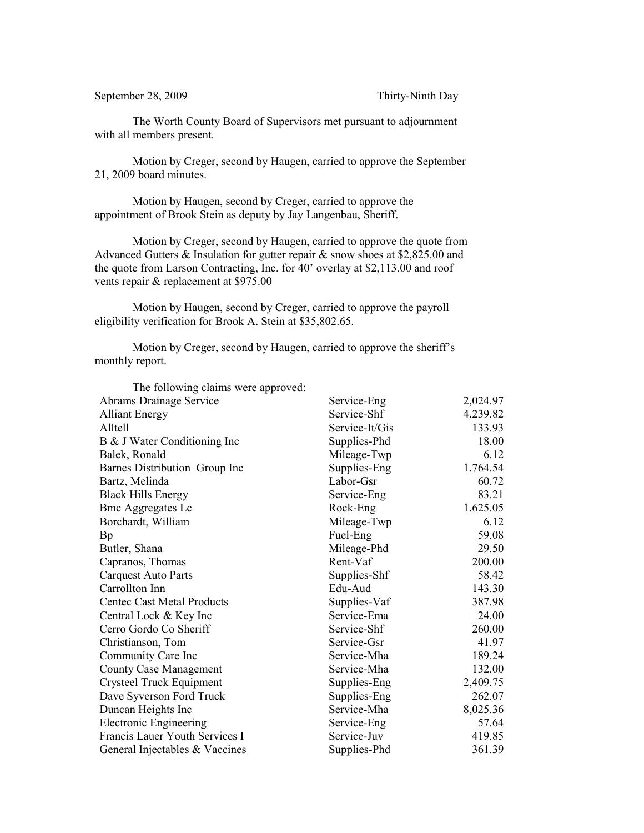September 28, 2009 Thirty-Ninth Day

The Worth County Board of Supervisors met pursuant to adjournment with all members present.

Motion by Creger, second by Haugen, carried to approve the September 21, 2009 board minutes.

Motion by Haugen, second by Creger, carried to approve the appointment of Brook Stein as deputy by Jay Langenbau, Sheriff.

Motion by Creger, second by Haugen, carried to approve the quote from Advanced Gutters  $&$  Insulation for gutter repair  $&$  snow shoes at \$2,825.00 and the quote from Larson Contracting, Inc. for 40' overlay at \$2,113.00 and roof vents repair & replacement at \$975.00

Motion by Haugen, second by Creger, carried to approve the payroll eligibility verification for Brook A. Stein at \$35,802.65.

Motion by Creger, second by Haugen, carried to approve the sheriff's monthly report.

| The following claims were approved: |                |          |
|-------------------------------------|----------------|----------|
| Abrams Drainage Service             | Service-Eng    | 2,024.97 |
| <b>Alliant Energy</b>               | Service-Shf    | 4,239.82 |
| Alltell                             | Service-It/Gis | 133.93   |
| B & J Water Conditioning Inc        | Supplies-Phd   | 18.00    |
| Balek, Ronald                       | Mileage-Twp    | 6.12     |
| Barnes Distribution Group Inc       | Supplies-Eng   | 1,764.54 |
| Bartz, Melinda                      | Labor-Gsr      | 60.72    |
| <b>Black Hills Energy</b>           | Service-Eng    | 83.21    |
| <b>Bmc Aggregates Lc</b>            | Rock-Eng       | 1,625.05 |
| Borchardt, William                  | Mileage-Twp    | 6.12     |
| <b>Bp</b>                           | Fuel-Eng       | 59.08    |
| Butler, Shana                       | Mileage-Phd    | 29.50    |
| Capranos, Thomas                    | Rent-Vaf       | 200.00   |
| <b>Carquest Auto Parts</b>          | Supplies-Shf   | 58.42    |
| Carrollton Inn                      | Edu-Aud        | 143.30   |
| <b>Centec Cast Metal Products</b>   | Supplies-Vaf   | 387.98   |
| Central Lock & Key Inc              | Service-Ema    | 24.00    |
| Cerro Gordo Co Sheriff              | Service-Shf    | 260.00   |
| Christianson, Tom                   | Service-Gsr    | 41.97    |
| Community Care Inc                  | Service-Mha    | 189.24   |
| <b>County Case Management</b>       | Service-Mha    | 132.00   |
| Crysteel Truck Equipment            | Supplies-Eng   | 2,409.75 |
| Dave Syverson Ford Truck            | Supplies-Eng   | 262.07   |
| Duncan Heights Inc                  | Service-Mha    | 8,025.36 |
| <b>Electronic Engineering</b>       | Service-Eng    | 57.64    |
| Francis Lauer Youth Services I      | Service-Juv    | 419.85   |
| General Injectables & Vaccines      | Supplies-Phd   | 361.39   |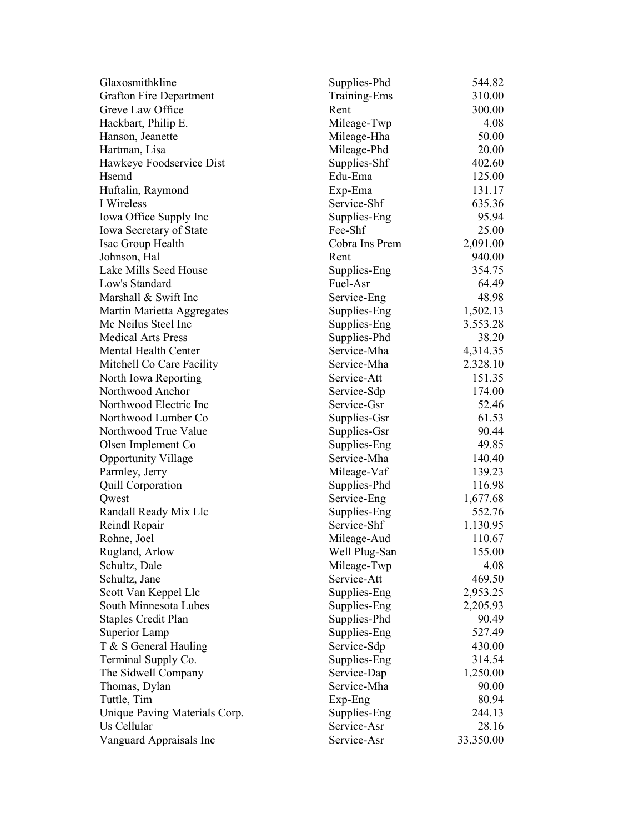| Glaxosmithkline                | Supplies-Phd   | 544.82    |
|--------------------------------|----------------|-----------|
| <b>Grafton Fire Department</b> | Training-Ems   | 310.00    |
| Greve Law Office               | Rent           | 300.00    |
| Hackbart, Philip E.            | Mileage-Twp    | 4.08      |
| Hanson, Jeanette               | Mileage-Hha    | 50.00     |
| Hartman, Lisa                  | Mileage-Phd    | 20.00     |
| Hawkeye Foodservice Dist       | Supplies-Shf   | 402.60    |
| Hsemd                          | Edu-Ema        | 125.00    |
| Huftalin, Raymond              | Exp-Ema        | 131.17    |
| I Wireless                     | Service-Shf    | 635.36    |
| Iowa Office Supply Inc         | Supplies-Eng   | 95.94     |
| Iowa Secretary of State        | Fee-Shf        | 25.00     |
| Isac Group Health              | Cobra Ins Prem | 2,091.00  |
| Johnson, Hal                   | Rent           | 940.00    |
| Lake Mills Seed House          | Supplies-Eng   | 354.75    |
| Low's Standard                 | Fuel-Asr       | 64.49     |
| Marshall & Swift Inc           | Service-Eng    | 48.98     |
| Martin Marietta Aggregates     | Supplies-Eng   | 1,502.13  |
| Mc Neilus Steel Inc            | Supplies-Eng   | 3,553.28  |
| <b>Medical Arts Press</b>      | Supplies-Phd   | 38.20     |
| Mental Health Center           | Service-Mha    | 4,314.35  |
| Mitchell Co Care Facility      | Service-Mha    | 2,328.10  |
| North Iowa Reporting           | Service-Att    | 151.35    |
| Northwood Anchor               | Service-Sdp    | 174.00    |
| Northwood Electric Inc         | Service-Gsr    | 52.46     |
| Northwood Lumber Co            | Supplies-Gsr   | 61.53     |
| Northwood True Value           | Supplies-Gsr   | 90.44     |
| Olsen Implement Co             | Supplies-Eng   | 49.85     |
| <b>Opportunity Village</b>     | Service-Mha    | 140.40    |
| Parmley, Jerry                 | Mileage-Vaf    | 139.23    |
| Quill Corporation              | Supplies-Phd   | 116.98    |
| Qwest                          | Service-Eng    | 1,677.68  |
| Randall Ready Mix Llc          | Supplies-Eng   | 552.76    |
| Reindl Repair                  | Service-Shf    | 1,130.95  |
| Rohne, Joel                    | Mileage-Aud    | 110.67    |
| Rugland, Arlow                 | Well Plug-San  | 155.00    |
| Schultz, Dale                  | Mileage-Twp    | 4.08      |
| Schultz, Jane                  | Service-Att    | 469.50    |
| Scott Van Keppel Llc           | Supplies-Eng   | 2,953.25  |
| South Minnesota Lubes          | Supplies-Eng   | 2,205.93  |
| <b>Staples Credit Plan</b>     | Supplies-Phd   | 90.49     |
| Superior Lamp                  | Supplies-Eng   | 527.49    |
| T & S General Hauling          | Service-Sdp    | 430.00    |
| Terminal Supply Co.            | Supplies-Eng   | 314.54    |
| The Sidwell Company            | Service-Dap    | 1,250.00  |
| Thomas, Dylan                  | Service-Mha    | 90.00     |
| Tuttle, Tim                    | Exp-Eng        | 80.94     |
| Unique Paving Materials Corp.  | Supplies-Eng   | 244.13    |
| Us Cellular                    | Service-Asr    | 28.16     |
| Vanguard Appraisals Inc        | Service-Asr    | 33,350.00 |
|                                |                |           |